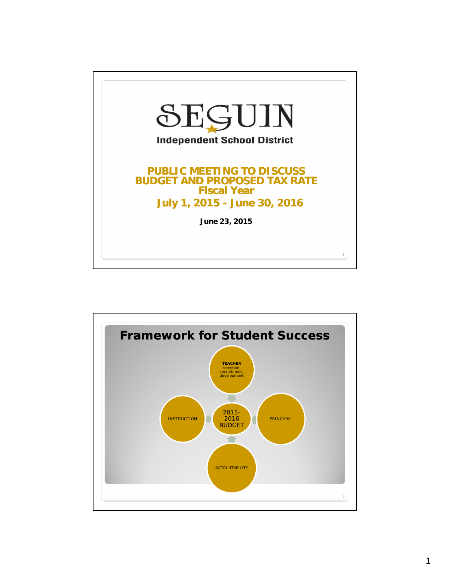

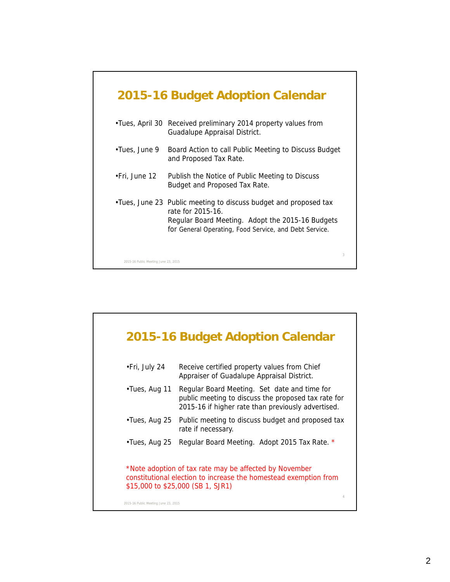|               | 2015-16 Budget Adoption Calendar                                                                                                                                                                     |
|---------------|------------------------------------------------------------------------------------------------------------------------------------------------------------------------------------------------------|
|               | •Tues, April 30 Received preliminary 2014 property values from<br>Guadalupe Appraisal District.                                                                                                      |
| •Tues, June 9 | Board Action to call Public Meeting to Discuss Budget<br>and Proposed Tax Rate.                                                                                                                      |
| •Fri, June 12 | Publish the Notice of Public Meeting to Discuss<br>Budget and Proposed Tax Rate.                                                                                                                     |
|               | . Tues, June 23 Public meeting to discuss budget and proposed tax<br>rate for 2015-16.<br>Regular Board Meeting. Adopt the 2015-16 Budgets<br>for General Operating, Food Service, and Debt Service. |
|               |                                                                                                                                                                                                      |

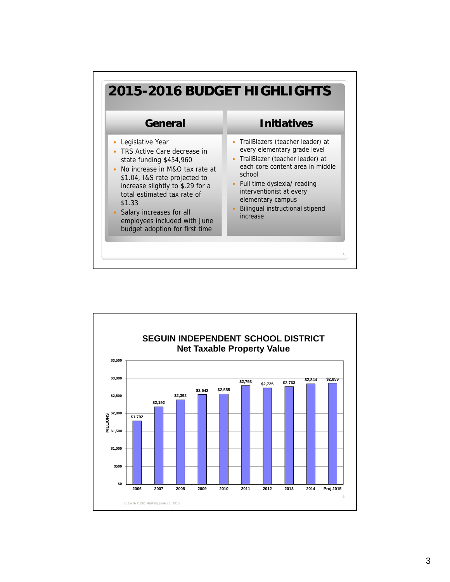

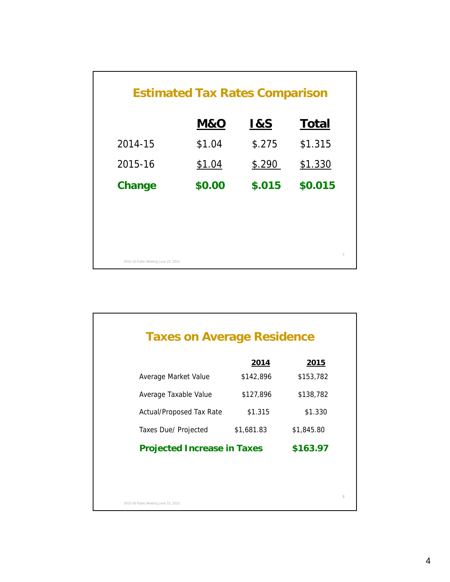|                                      | <b>Estimated Tax Rates Comparison</b> |                |                |
|--------------------------------------|---------------------------------------|----------------|----------------|
|                                      | M&O                                   | <u>1&amp;S</u> | <b>Total</b>   |
| 2014-15                              | \$1.04                                | \$.275         | \$1.315        |
| 2015-16                              | \$1.04                                | \$.290         | \$1.330        |
| Change                               | \$0.00                                | \$.015         | \$0.015        |
|                                      |                                       |                |                |
|                                      |                                       |                |                |
|                                      |                                       |                | $\overline{7}$ |
| 2015-16 Public Meeting June 23, 2015 |                                       |                |                |

| <b>Taxes on Average Residence</b>  |            |               |
|------------------------------------|------------|---------------|
|                                    | 2014       | <u> 2015 </u> |
| Average Market Value               | \$142,896  | \$153,782     |
| Average Taxable Value              | \$127,896  | \$138,782     |
| <b>Actual/Proposed Tax Rate</b>    | \$1.315    | \$1.330       |
| Taxes Due/ Projected               | \$1,681.83 | \$1,845.80    |
| <b>Projected Increase in Taxes</b> |            | \$163.97      |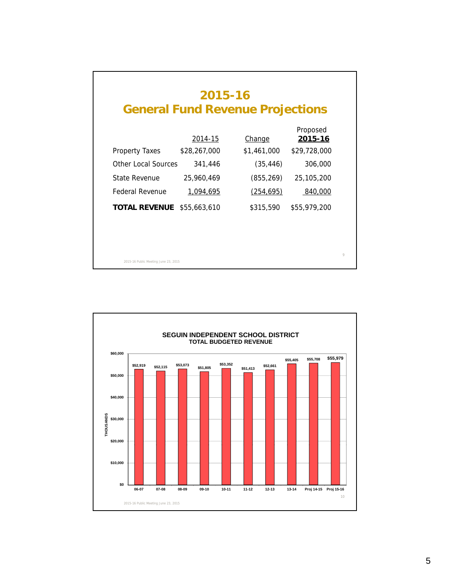|                            | 2014-15      | <b>Change</b> | Proposed<br><u>2015-16</u> |
|----------------------------|--------------|---------------|----------------------------|
| Property Taxes             | \$28,267,000 | \$1,461,000   | \$29,728,000               |
| <b>Other Local Sources</b> | 341,446      | (35, 446)     | 306,000                    |
| State Revenue              | 25,960,469   | (855, 269)    | 25,105,200                 |
| Federal Revenue            | 1,094,695    | (254, 695)    | 840,000                    |
| TOTAL REVENUE              | \$55,663,610 | \$315,590     | \$55,979,200               |

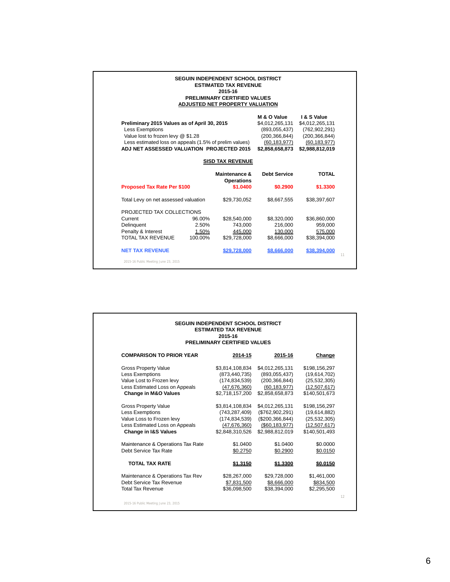|                                                                                                                                                                                                                     |         | <b>SEGUIN INDEPENDENT SCHOOL DISTRICT</b><br><b>ESTIMATED TAX REVENUE</b><br>2015-16<br>PRELIMINARY CERTIFIED VALUES<br>ADJUSTED NET PROPERTY VALUATION |                                                                                                         |                                                                                                           |    |
|---------------------------------------------------------------------------------------------------------------------------------------------------------------------------------------------------------------------|---------|---------------------------------------------------------------------------------------------------------------------------------------------------------|---------------------------------------------------------------------------------------------------------|-----------------------------------------------------------------------------------------------------------|----|
| Preliminary 2015 Values as of April 30, 2015<br><b>Less Exemptions</b><br>Value lost to frozen levy @ \$1.28<br>Less estimated loss on appeals (1.5% of prelim values)<br>ADJ NET ASSESSED VALUATION PROJECTED 2015 |         |                                                                                                                                                         | M & O Value<br>\$4,012,265,131<br>(893,055,437)<br>(200, 366, 844)<br>(60, 183, 977)<br>\$2,858,658,873 | I & S Value<br>\$4,012,265,131<br>(762, 902, 291)<br>(200, 366, 844)<br>(60, 183, 977)<br>\$2,988,812,019 |    |
|                                                                                                                                                                                                                     |         | <b>SISD TAX REVENUE</b>                                                                                                                                 |                                                                                                         |                                                                                                           |    |
|                                                                                                                                                                                                                     |         | Maintenance &<br><b>Operations</b>                                                                                                                      | <b>Debt Service</b>                                                                                     | <b>TOTAL</b>                                                                                              |    |
| <b>Proposed Tax Rate Per \$100</b>                                                                                                                                                                                  |         | \$1.0400                                                                                                                                                | \$0.2900                                                                                                | \$1,3300                                                                                                  |    |
| Total Levy on net assessed valuation                                                                                                                                                                                |         | \$29,730,052                                                                                                                                            | \$8,667,555                                                                                             | \$38,397,607                                                                                              |    |
| PROJECTED TAX COLLECTIONS                                                                                                                                                                                           |         |                                                                                                                                                         |                                                                                                         |                                                                                                           |    |
| Current                                                                                                                                                                                                             | 96.00%  | \$28,540,000                                                                                                                                            | \$8,320,000                                                                                             | \$36,860,000                                                                                              |    |
| Delinquent                                                                                                                                                                                                          | 2.50%   | 743,000                                                                                                                                                 | 216,000                                                                                                 | 959,000                                                                                                   |    |
| Penalty & Interest                                                                                                                                                                                                  | 1.50%   | 445,000                                                                                                                                                 | 130,000                                                                                                 | 575,000                                                                                                   |    |
| TOTAL TAX REVENUE                                                                                                                                                                                                   | 100.00% | \$29,728,000                                                                                                                                            | \$8,666,000                                                                                             | \$38,394,000                                                                                              |    |
| <b>NET TAX REVENUE</b>                                                                                                                                                                                              |         | \$29,728,000                                                                                                                                            | \$8,666,000                                                                                             | \$38,394,000                                                                                              | 11 |
| 2015-16 Public Meeting June 23, 2015                                                                                                                                                                                |         |                                                                                                                                                         |                                                                                                         |                                                                                                           |    |

|                                      | <b>SEGUIN INDEPENDENT SCHOOL DISTRICT</b><br><b>ESTIMATED TAX REVENUE</b><br>2015-16<br>PRELIMINARY CERTIFIED VALUES |                    |                |    |
|--------------------------------------|----------------------------------------------------------------------------------------------------------------------|--------------------|----------------|----|
| <b>COMPARISON TO PRIOR YEAR</b>      | 2014-15                                                                                                              | 2015-16            | Change         |    |
| <b>Gross Property Value</b>          | \$3,814,108,834                                                                                                      | \$4,012,265,131    | \$198,156,297  |    |
| <b>Less Exemptions</b>               | (873,440,735)                                                                                                        | (893,055,437)      | (19,614,702)   |    |
| Value Lost to Frozen levy            | (174, 834, 539)                                                                                                      | (200, 366, 844)    | (25, 532, 305) |    |
| Less Estimated Loss on Appeals       | (47,676,360)                                                                                                         | (60, 183, 977)     | (12,507,617)   |    |
| <b>Change in M&amp;O Values</b>      | \$2,718,157,200                                                                                                      | \$2,858,658,873    | \$140,501,673  |    |
| <b>Gross Property Value</b>          | \$3,814,108,834                                                                                                      | \$4,012,265,131    | \$198,156,297  |    |
| <b>Less Exemptions</b>               | (743, 287, 409)                                                                                                      | (\$762,902,291)    | (19,614,882)   |    |
| Value Loss to Frozen levy            | (174, 834, 539)                                                                                                      | (\$200,366,844)    | (25, 532, 305) |    |
| Less Estimated Loss on Appeals       | (47, 676, 360)                                                                                                       | $(\$60, 183, 977)$ | (12,507,617)   |    |
| <b>Change in I&amp;S Values</b>      | \$2,848,310,526                                                                                                      | \$2,988,812,019    | \$140,501,493  |    |
| Maintenance & Operations Tax Rate    | \$1.0400                                                                                                             | \$1.0400           | \$0.0000       |    |
| Debt Service Tax Rate                | \$0.2750                                                                                                             | \$0.2900           | \$0.0150       |    |
| <b>TOTAL TAX RATE</b>                | \$1.3150                                                                                                             | \$1.3300           | \$0.0150       | 12 |
| Maintenance & Operations Tax Rev     | \$28,267,000                                                                                                         | \$29,728,000       | \$1,461,000    |    |
| Debt Service Tax Revenue             | \$7,831,500                                                                                                          | \$8,666,000        | \$834,500      |    |
| <b>Total Tax Revenue</b>             | \$36,098,500                                                                                                         | \$38,394,000       | \$2,295,500    |    |
| 2015-16 Public Meeting June 23, 2015 |                                                                                                                      |                    |                |    |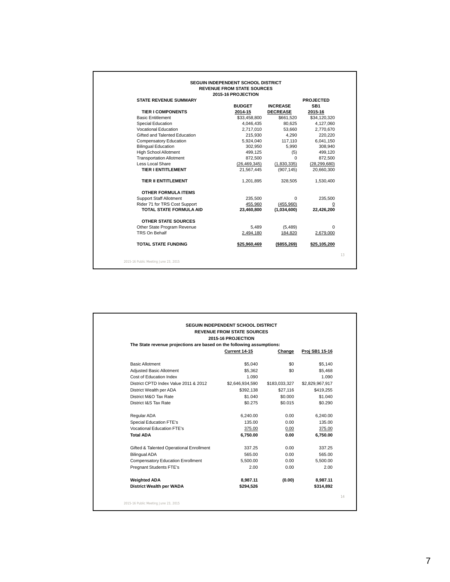## **SEGUIN INDEPENDENT SCHOOL DISTRICT REVENUE FROM STATE SOURCES 2015-16 PROJECTION STATE REVENUE SUMMARY EXIGRATION EXECUTED**<br>BUDGET **INCREASE** SB1 **INCREASE**

| <b>TIER I COMPONENTS</b>             | 2014-15        | <b>DECREASE</b> | 2015-16        |    |
|--------------------------------------|----------------|-----------------|----------------|----|
| <b>Basic Entitlement</b>             | \$33,458,800   | \$661,520       | \$34,120,320   |    |
| Special Education                    | 4,046,435      | 80.625          | 4,127,060      |    |
| <b>Vocational Education</b>          | 2,717,010      | 53,660          | 2,770,670      |    |
| Gifted and Talented Education        | 215,930        | 4,290           | 220,220        |    |
| <b>Compensatory Education</b>        | 5,924,040      | 117,110         | 6,041,150      |    |
| <b>Bilingual Education</b>           | 302,950        | 5,990           | 308,940        |    |
| High School Allotment                | 499,125        | (5)             | 499,120        |    |
| <b>Transportation Allotment</b>      | 872,500        | $\Omega$        | 872,500        |    |
| Less Local Share                     | (26, 469, 345) | (1,830,335)     | (28, 299, 680) |    |
| <b>TIER I ENTITLEMENT</b>            | 21,567,445     | (907, 145)      | 20,660,300     |    |
| <b>TIER II ENTITLEMENT</b>           | 1.201.895      | 328.505         | 1.530.400      |    |
| <b>OTHER FORMULA ITEMS</b>           |                |                 |                |    |
| <b>Support Staff Allotment</b>       | 235,500        | 0               | 235,500        |    |
| Rider 71 for TRS Cost Support        | 455,960        | (455,960)       | 0              |    |
| <b>TOTAL STATE FORMULA AID</b>       | 23.460.800     | (1,034,600)     | 22,426,200     |    |
| <b>OTHER STATE SOURCES</b>           |                |                 |                |    |
| Other State Program Revenue          | 5,489          | (5,489)         | 0              |    |
| TRS On Behalf                        | 2,494,180      | 184,820         | 2,679,000      |    |
| <b>TOTAL STATE FUNDING</b>           | \$25,960,469   | $($ \$855,269)  | \$25,105,200   |    |
|                                      |                |                 |                | 13 |
| 2015-16 Public Meeting June 23, 2015 |                |                 |                |    |

|                                                                       | 2015-16 PROJECTION |               |                 |
|-----------------------------------------------------------------------|--------------------|---------------|-----------------|
| The State revenue projections are based on the following assumptions: |                    |               |                 |
|                                                                       | Current 14-15      | Change        | Proj SB1 15-16  |
| <b>Basic Allotment</b>                                                | \$5.040            | \$0           | \$5,140         |
| Adjusted Basic Allotment                                              | \$5,362            | \$0           | \$5,468         |
| Cost of Education Index                                               | 1.090              |               | 1.090           |
| District CPTD Index Value 2011 & 2012                                 | \$2,646,934,590    | \$183,033,327 | \$2,829,967,917 |
| District Wealth per ADA                                               | \$392,138          | \$27.116      | \$419,255       |
| District M&O Tax Rate                                                 | \$1,040            | \$0.000       | \$1.040         |
| District I&S Tax Rate                                                 | \$0.275            | \$0.015       | \$0.290         |
| Regular ADA                                                           | 6,240.00           | 0.00          | 6.240.00        |
| <b>Special Education FTE's</b>                                        | 135.00             | 0.00          | 135.00          |
| Vocational Education FTE's                                            | 375.00             | 0.00          | 375.00          |
| <b>Total ADA</b>                                                      | 6,750.00           | 0.00          | 6,750.00        |
| Gifted & Talented Operational Enrollment                              | 337.25             | 0.00          | 337.25          |
| <b>Bilingual ADA</b>                                                  | 565.00             | 0.00          | 565.00          |
| <b>Compensatory Education Enrollment</b>                              | 5,500.00           | 0.00          | 5.500.00        |
| Pregnant Students FTE's                                               | 2.00               | 0.00          | 2.00            |
| <b>Weighted ADA</b>                                                   | 8.987.11           | (0.00)        | 8.987.11        |
| District Wealth per WADA                                              | \$294.526          |               | \$314,892       |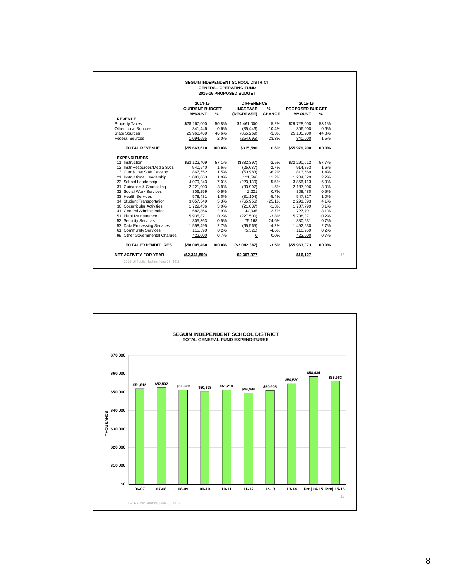|                               |                                  |        | 2015-16 PROPOSED BUDGET              |               |                                   |               |
|-------------------------------|----------------------------------|--------|--------------------------------------|---------------|-----------------------------------|---------------|
|                               | 2014-15<br><b>CURRENT BUDGET</b> |        | <b>DIFFERENCE</b><br><b>INCREASE</b> | $\frac{9}{6}$ | 2015-16<br><b>PROPOSED BUDGET</b> |               |
|                               | <b>AMOUNT</b>                    | %      | (DECREASE)                           | <b>CHANGE</b> | <b>AMOUNT</b>                     | $\frac{9}{6}$ |
| <b>REVENUE</b>                |                                  |        |                                      |               |                                   |               |
| <b>Property Taxes</b>         | \$28,267,000                     | 50.8%  | \$1,461,000                          | 5.2%          | \$29,728,000                      | 53.1%         |
| Other Local Sources           | 341,446                          | 0.6%   | (35, 446)                            | $-10.4%$      | 306,000                           | 0.6%          |
| State Sources                 | 25,960,469                       | 46.6%  | (855, 269)                           | $-3.3%$       | 25,105,200                        | 44.8%         |
| <b>Federal Sources</b>        | 1,094,695                        | 2.0%   | (254, 695)                           | $-23.3%$      | 840,000                           | 1.5%          |
| <b>TOTAL REVENUE</b>          | \$55,663,610                     | 100.0% | \$315,590                            | 0.6%          | \$55,979,200                      | 100.0%        |
| <b>EXPENDITURES</b>           |                                  |        |                                      |               |                                   |               |
| 11 Instruction                | \$33,122,409                     | 57.1%  | (\$832,397)                          | $-2.5%$       | \$32,290,012                      | 57.7%         |
| 12 Instr Resources/Media Svcs | 940.540                          | 1.6%   | (25,687)                             | $-2.7%$       | 914,853                           | 1.6%          |
| 13 Curr & Inst Staff Develop  | 867,552                          | 1.5%   | (53,983)                             | $-6.2%$       | 813,569                           | 1.4%          |
| 21 Instructional Leadership   | 1,083,063                        | 1.9%   | 121,566                              | 11.2%         | 1,204,629                         | 2.2%          |
| 23 School Leadership          | 4,079,243                        | 7.0%   | (223, 130)                           | $-5.5%$       | 3,856,113                         | 6.9%          |
| 31 Guidance & Counseling      | 2,221,003                        | 3.9%   | (33,997)                             | $-1.5%$       | 2,187,006                         | 3.9%          |
| 32 Social Work Services       | 306,259                          | 0.5%   | 2.221                                | 0.7%          | 308,480                           | 0.5%          |
| 33 Health Services            | 578,431                          | 1.0%   | (31, 104)                            | $-5.4%$       | 547,327                           | 1.0%          |
| 34 Student Transportation     | 3,057,349                        | 5.3%   | (765, 956)                           | $-25.1%$      | 2,291,393                         | 4.1%          |
| 36 Cocurricular Activities    | 1,729,436                        | 3.0%   | (21, 637)                            | $-1.3%$       | 1,707,799                         | 3.1%          |
| 41 General Administration     | 1,682,856                        | 2.9%   | 44,935                               | 2.7%          | 1,727,791                         | 3.1%          |
| 51 Plant Maintenance          | 5,935,871                        | 10.2%  | (227, 500)                           | $-3.8%$       | 5,708,371                         | 10.2%         |
| 52 Security Services          | 305,363                          | 0.5%   | 75,168                               | 24.6%         | 380,531                           | 0.7%          |
| 53 Data Processing Services   | 1,558,495                        | 2.7%   | (65, 565)                            | $-4.2%$       | 1,492,930                         | 2.7%          |
| 61 Community Services         | 115,590                          | 0.2%   | (5,321)                              | $-4.6%$       | 110,269                           | 0.2%          |
| 99 Other Governmental Charges | 422,000                          | 0.7%   | $\overline{0}$                       | 0.0%          | 422,000                           | 0.7%          |
| <b>TOTAL EXPENDITURES</b>     | \$58.005.460                     | 100.0% | (\$2,042,387)                        | $-3.5%$       | \$55.963.073                      | 100.0%        |

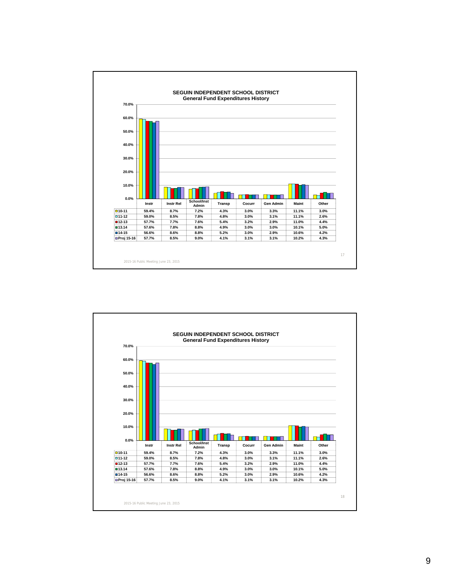

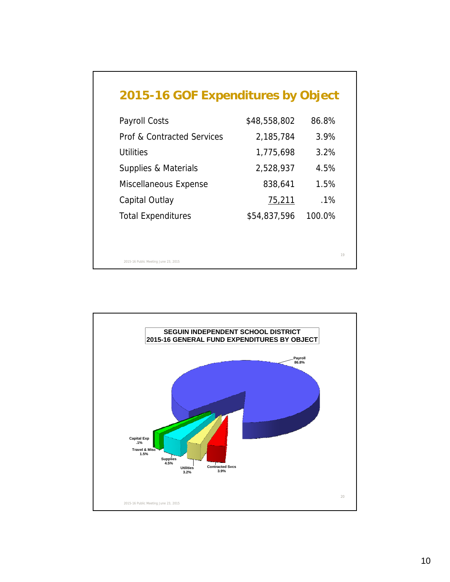| <b>Payroll Costs</b>                  | \$48,558,802 | 86.8%  |
|---------------------------------------|--------------|--------|
| <b>Prof &amp; Contracted Services</b> | 2,185,784    | 3.9%   |
| Utilities                             | 1,775,698    | 3.2%   |
| Supplies & Materials                  | 2,528,937    | 4.5%   |
| Miscellaneous Expense                 | 838,641      | 1.5%   |
| Capital Outlay                        | 75,211       | $.1\%$ |
| <b>Total Expenditures</b>             | \$54,837,596 | 100.0% |

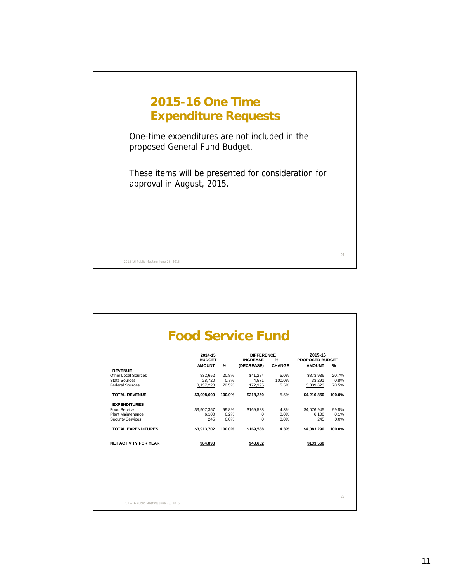

|                              | 2014-15<br><b>BUDGET</b> |        | <b>DIFFERENCE</b><br><b>INCREASE</b> | $\frac{9}{6}$ | 2015-16<br><b>PROPOSED BUDGET</b> |        |
|------------------------------|--------------------------|--------|--------------------------------------|---------------|-----------------------------------|--------|
|                              | <b>AMOUNT</b>            | %      | (DECREASE)                           | <b>CHANGE</b> | <b>AMOUNT</b>                     | %      |
| <b>REVENUE</b>               |                          |        |                                      |               |                                   |        |
| Other Local Sources          | 832,652                  | 20.8%  | \$41,284                             | 5.0%          | \$873,936                         | 20.7%  |
| <b>State Sources</b>         | 28.720                   | 0.7%   | 4.571                                | 100.0%        | 33.291                            | 0.8%   |
| <b>Federal Sources</b>       | 3,137,228                | 78.5%  | 172,395                              | 5.5%          | 3,309,623                         | 78.5%  |
| <b>TOTAL REVENUE</b>         | \$3,998,600              | 100.0% | \$218.250                            | 5.5%          | \$4.216.850                       | 100.0% |
| <b>EXPENDITURES</b>          |                          |        |                                      |               |                                   |        |
| Food Service                 | \$3,907,357              | 99.8%  | \$169.588                            | 4.3%          | \$4,076,945                       | 99.8%  |
| <b>Plant Maintenance</b>     | 6.100                    | 0.2%   | $\mathbf 0$                          | 0.0%          | 6.100                             | 0.1%   |
| <b>Security Services</b>     | 245                      | 0.0%   | 0                                    | 0.0%          | 245                               | 0.0%   |
| <b>TOTAL EXPENDITURES</b>    | \$3,913,702              | 100.0% | \$169.588                            | 4.3%          | \$4.083.290                       | 100.0% |
| <b>NET ACTIVITY FOR YEAR</b> | \$84,898                 |        | \$48,662                             |               | \$133,560                         |        |

2015-16 Public Meeting June 23, 2015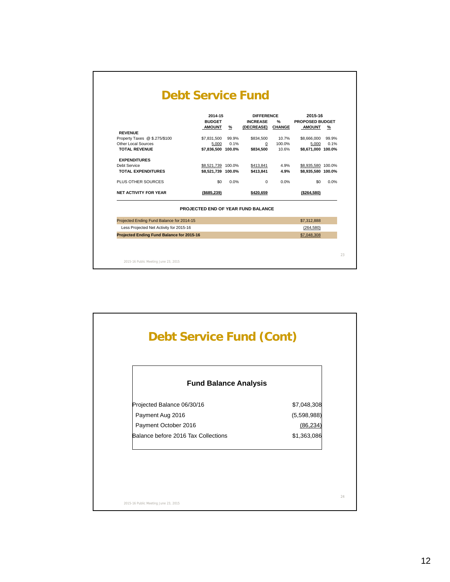|                                                 | 2014-15                            |       | <b>DIFFERENCE</b> |               | 2015-16            |       |
|-------------------------------------------------|------------------------------------|-------|-------------------|---------------|--------------------|-------|
|                                                 | <b>BUDGET</b>                      |       | <b>INCREASE</b>   | $\frac{9}{6}$ | PROPOSED BUDGET    |       |
|                                                 | AMOUNT                             | %     | (DECREASE) CHANGE |               | <b>AMOUNT</b>      | %     |
| <b>REVENUE</b><br>Property Taxes @ \$.275/\$100 | \$7,831,500                        | 99.9% | \$834,500         | 10.7%         | \$8,666,000        | 99.9% |
| Other Local Sources                             | 5,000                              | 0.1%  | $\mathbf{0}$      | 100.0%        | 5,000              | 0.1%  |
| <b>TOTAL REVENUE</b>                            | \$7,836,500 100.0%                 |       | \$834,500         | 10.6%         | \$8,671,000 100.0% |       |
| <b>EXPENDITURES</b>                             |                                    |       |                   |               |                    |       |
| Debt Service                                    | \$8,521,739 100.0%                 |       | \$413,841         | 4.9%          | \$8,935,580 100.0% |       |
| <b>TOTAL EXPENDITURES</b>                       | \$8,521,739 100.0%                 |       | \$413.841         | 4.9%          | \$8,935,580 100.0% |       |
| PLUS OTHER SOURCES                              | \$0                                | 0.0%  | $\Omega$          | 0.0%          | \$0                | 0.0%  |
| <b>NET ACTIVITY FOR YEAR</b>                    | ( \$685.239)                       |       | \$420.659         |               | ( \$264.580)       |       |
|                                                 | PROJECTED END OF YEAR FUND BALANCE |       |                   |               |                    |       |
| Projected Ending Fund Balance for 2014-15       |                                    |       |                   |               | \$7,312,888        |       |
| Less Projected Net Activity for 2015-16         |                                    |       |                   |               | (264, 580)         |       |
| Projected Ending Fund Balance for 2015-16       |                                    |       |                   |               | \$7,048,308        |       |

| <b>Fund Balance Analysis</b>        |             |
|-------------------------------------|-------------|
| Projected Balance 06/30/16          | \$7,048,308 |
| Payment Aug 2016                    | (5,598,988) |
| Payment October 2016                | (86, 234)   |
| Balance before 2016 Tax Collections | \$1,363,086 |